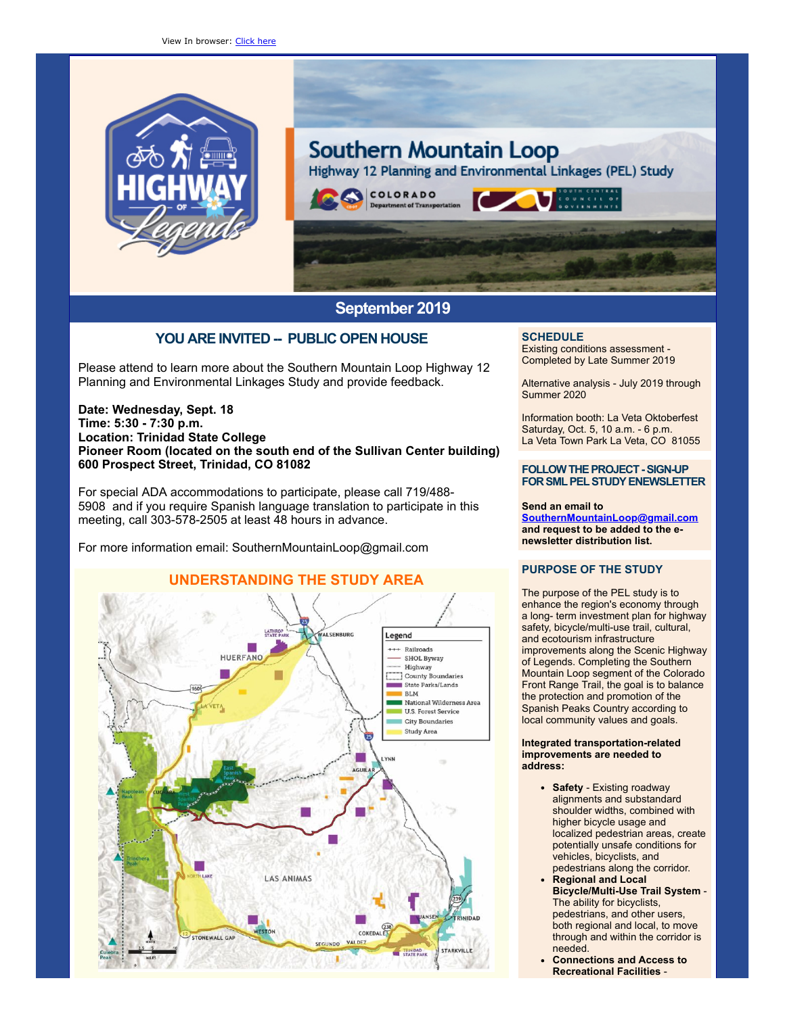

# **Southern Mountain Loop** Highway 12 Planning and Environmental Linkages (PEL) Study COLORADO

# **September 2019**

# **YOU ARE INVITED -- PUBLIC OPEN HOUSE**

Please attend to learn more about the Southern Mountain Loop Highway 12 Planning and Environmental Linkages Study and provide feedback.

### **Date: Wednesday, Sept. 18 Time: 5:30 - 7:30 p.m. Location: Trinidad State College Pioneer Room (located on the south end of the Sullivan Center building) 600 Prospect Street, Trinidad, CO 81082**

For special ADA accommodations to participate, please call 719/488- 5908 and if you require Spanish language translation to participate in this meeting, call 303-578-2505 at least 48 hours in advance.

For more information email: SouthernMountainLoop@gmail.com



## **SCHEDULE**

Existing conditions assessment - Completed by Late Summer 2019

Alternative analysis - July 2019 through Summer 2020

Information booth: La Veta Oktoberfest Saturday, Oct. 5, 10 a.m. - 6 p.m. La Veta Town Park La Veta, CO 81055

#### **FOLLOW THE PROJECT - SIGN-UP FORSMLPELSTUDYENEWSLETTER**

#### **Send an email to**

**[SouthernMountainLoop@gmail.com](mailto:SouthernMountainLoop@gmail.com) and request to be added to the enewsletter distribution list.**

## **PURPOSE OF THE STUDY**

The purpose of the PEL study is to enhance the region's economy through a long- term investment plan for highway safety, bicycle/multi-use trail, cultural, and ecotourism infrastructure improvements along the Scenic Highway of Legends. Completing the Southern Mountain Loop segment of the Colorado Front Range Trail, the goal is to balance the protection and promotion of the Spanish Peaks Country according to local community values and goals.

#### **Integrated transportation-related improvements are needed to address:**

- **Safety** Existing roadway alignments and substandard shoulder widths, combined with higher bicycle usage and localized pedestrian areas, create potentially unsafe conditions for vehicles, bicyclists, and pedestrians along the corridor.
- **Regional and Local Bicycle/Multi-Use Trail System** - The ability for bicyclists, pedestrians, and other users, both regional and local, to move through and within the corridor is needed.
- **Connections and Access to Recreational Facilities** -